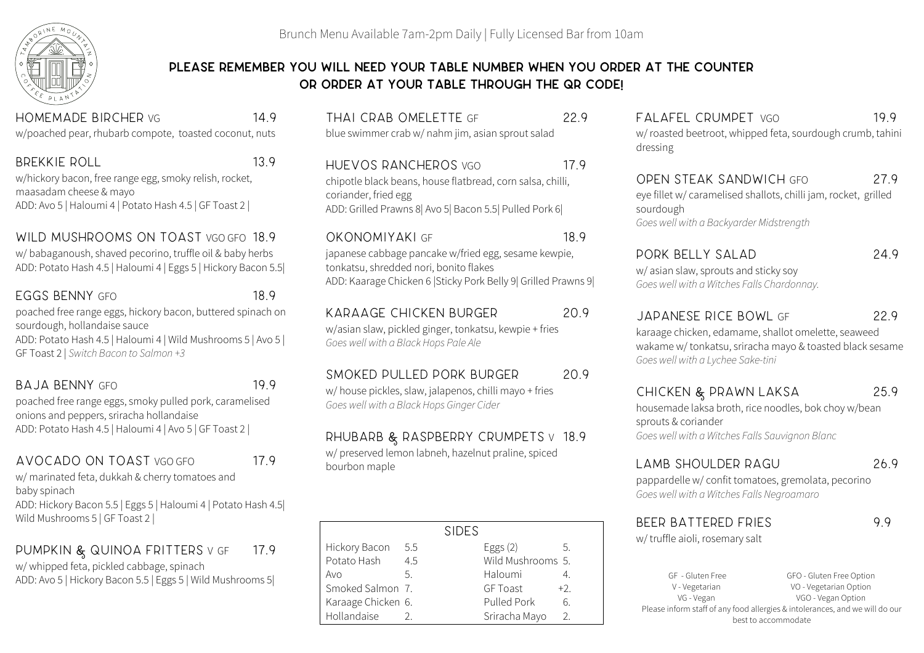

### **Please Remember you will need your table number when you order at the counter OR Order at your table through the qr code!**

Homemade Bircher VG 14.9 w/poached pear, rhubarb compote, toasted coconut, nuts

| <b>BREKKIE ROLL</b>                                    | 13.9 |
|--------------------------------------------------------|------|
| w/hickory bacon, free range egg, smoky relish, rocket, |      |
| maasadam cheese & mayo                                 |      |
| ADD: Avo 5   Haloumi 4   Potato Hash 4.5   GF Toast 2  |      |

WILD MUSHROOMS ON TOAST VGO GFO 18.9

w/ babaganoush, shaved pecorino, truffle oil & baby herbs ADD: Potato Hash 4.5 | Haloumi 4 | Eggs 5 | Hickory Bacon 5.5|

| EGGS BENNY GFO | 18.9 |
|----------------|------|
|                |      |

poached free range eggs, hickory bacon, buttered spinach on sourdough, hollandaise sauce

ADD: Potato Hash 4.5 | Haloumi 4 | Wild Mushrooms 5 | Avo 5 | GF Toast 2 | *Switch Bacon to Salmon +3*

# BAJA BENNY GFO 19.9

poached free range eggs, smoky pulled pork, caramelised onions and peppers, sriracha hollandaise ADD: Potato Hash 4.5 | Haloumi 4 | Avo 5 | GF Toast 2 |

# Avocado on Toast VGO GFO 17.9

w/ marinated feta, dukkah & cherry tomatoes and

baby spinach

ADD: Hickory Bacon 5.5 | Eggs 5 | Haloumi 4 | Potato Hash 4.5| Wild Mushrooms 5 | GF Toast 2 |

# PUMPKIN & QUINOA FRITTERS V GF 17.9

w/ whipped feta, pickled cabbage, spinach ADD: Avo 5 | Hickory Bacon 5.5 | Eggs 5 | Wild Mushrooms 5|

| THAI CRAB OMELETTE GF                             | 22.9 |
|---------------------------------------------------|------|
| blue swimmer crab w/ nahm jim, asian sprout salad |      |

#### huevos rancheros VGO 17.9 chipotle black beans, house flatbread, corn salsa, chilli, coriander, fried egg ADD: Grilled Prawns 8| Avo 5| Bacon 5.5| Pulled Pork 6|

#### Okonomiyaki GF 18.9

japanese cabbage pancake w/fried egg, sesame kewpie, tonkatsu, shredded nori, bonito flakes ADD: Kaarage Chicken 6 |Sticky Pork Belly 9| Grilled Prawns 9|

Karaage chicken burger 20.9

w/asian slaw, pickled ginger, tonkatsu, kewpie + fries *Goes well with a Black Hops Pale Ale* 

# SMOKED PULLED PORK BURGER 20.9

w/ house pickles, slaw, jalapenos, chilli mayo + fries *Goes well with a Black Hops Ginger Cider*

# RHUBARB & RASPBERRY CRUMPETS V 18.9

w/ preserved lemon labneh, hazelnut praline, spiced bourbon maple

|                    |     | <b>SIDES</b> |                   |               |
|--------------------|-----|--------------|-------------------|---------------|
| Hickory Bacon      | 5.5 |              | Eggs $(2)$        | 5.            |
| Potato Hash        | 4.5 |              | Wild Mushrooms 5. |               |
| Avo                | 5.  |              | Haloumi           |               |
| Smoked Salmon 7.   |     |              | <b>GF</b> Toast   | $+2$          |
| Karaage Chicken 6. |     |              | Pulled Pork       | 6.            |
| Hollandaise        |     |              | Sriracha Mayo     | $\mathcal{P}$ |

FAI AFFICRUMPET VGO 199 w/ roasted beetroot, whipped feta, sourdough crumb, tahini

dressing

Open Steak sandwich GFO 27.9 eye fillet w/ caramelised shallots, chilli jam, rocket, grilled sourdough *Goes well with a Backyarder Midstrength*

pork belly Salad 24.9 w/ asian slaw, sprouts and sticky soy *Goes well with a Witches Falls Chardonnay.*

### Japanese Rice Bowl GF 22.9

karaage chicken, edamame, shallot omelette, seaweed wakame w/ tonkatsu, sriracha mayo & toasted black sesame *Goes well with a Lychee Sake-tini*

# CHICKEN & PRAWN LAKSA 25.9

housemade laksa broth, rice noodles, bok choy w/bean sprouts & coriander *Goes well with a Witches Falls Sauvignon Blanc*

# Lamb Shoulder Ragu 26.9

pappardelle w/ confit tomatoes, gremolata, pecorino *Goes well with a Witches Falls Negroamaro*

#### BEER BATTERED FRIES 9.9

w/ truffle aioli, rosemary salt

GF - Gluten Free GFO - Gluten Free Option V - Vegetarian VO - Vegetarian Option VG - Vegan VGO - Vegan Option Please inform staff of any food allergies & intolerances, and we will do our best to accommodate